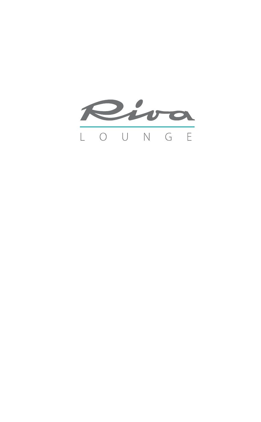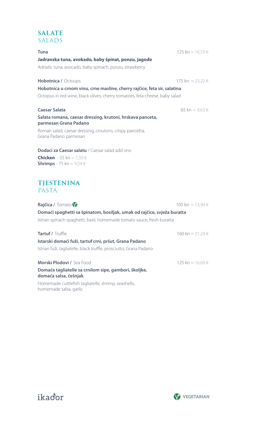#### **SALATE** SALADS

| <b>Tuna</b>                                                                                | 125 kn ≈ 16,59 € |
|--------------------------------------------------------------------------------------------|------------------|
| Jadranska tuna, avokado, baby špinat, ponzu, jagode                                        |                  |
| Adriatic tuna, avocado, baby spinach, ponzu, strawberry                                    |                  |
| <b>Hobotnica / Octoups</b>                                                                 | 175 kn ≈ 23.22 € |
| Hobotnica u crnom vinu, crne masline, cherry rajčice, feta sir, salatina                   |                  |
| Octopus in red wine, black olives, cherry tomatoes, feta cheese, baby salad                |                  |
| <b>Caesar Salata</b>                                                                       | 65 kn ≈ 8,63 €   |
| Salata romana, caesar dressing, krutoni, hrskava panceta,<br>parmesan Grana Padano         |                  |
| Roman salad, caesar dressing, croutons, crispy pancetta,<br>Grana Padano parmesan          |                  |
| <b>Dodaci za Caesar salatu</b> / Caesar salad add ons:                                     |                  |
| <b>Chicken</b> - 55 kn $\approx$ 7,30 $\in$<br><b>Shrimps</b> - 75 kn $\approx$ 9,54 $\in$ |                  |
| <b>TJESTENINA</b><br><b>PASTA</b>                                                          |                  |
| Rajčica / Tomato                                                                           | 105 kn ≈ 13,94 € |
| Domaći spaghetti sa špinatom, bosiljak, umak od rajčice, svježa buratta                    |                  |
| Istrian spinach spaghetti, basil, homemade tomato sauce, fresh buratta                     |                  |
| Tartuf / Truffle                                                                           | 160 kn ≈ 21,24 € |
| Istarski domaći fuži, tartuf crni, pršut, Grana Padano                                     |                  |
| Istrian fuži, tagliatelle, black truffle, prosciutto, Grana Padano                         |                  |
| Morski Plodovi / Sea Food                                                                  | 125 kn ≈ 16,60 € |
| Domaće tagliatelle sa crnilom sipe, gambori, školjke,<br>domaća salsa, češnjak             |                  |
| Homemade cuttlefish tagliatelle, shrimp, seashells,<br>homemade salsa, garlic              |                  |



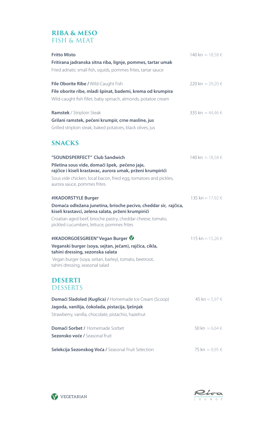### **RIBA & MESO** FISH & MEAT

| <b>Fritto Misto</b><br>Fritirana jadranska sitna riba, lignje, pommes, tartar umak                                    | 140 kn ≈ 18,58 €           |
|-----------------------------------------------------------------------------------------------------------------------|----------------------------|
| Fried adriatic small fish, squids, pommes frites, tartar sauce                                                        |                            |
| File Oborite Ribe / Wild-Caught Fish                                                                                  | 220 kn ≈ 29,20 €           |
| File oborite ribe, mladi špinat, bademi, krema od krumpira                                                            |                            |
| Wild-caught fish fillet, baby spinach, almonds, potatoe cream                                                         |                            |
| <b>Ramstek</b> / Striploin Steak                                                                                      | 335 kn ≈ 44,46 €           |
| Grilani ramstek, pečeni krumpir, crne masline, jus                                                                    |                            |
| Grilled striploin steak, baked potatoes, black olives, jus                                                            |                            |
| <b>SNACKS</b>                                                                                                         |                            |
| "SOUNDSPERFECT" Club Sandwich                                                                                         | 140 kn ≈ 18,58 €           |
| Piletina sous vide, domaći špek, pečeno jaje,<br>rajčice i kiseli krastavac, aurora umak, prženi krumpirići           |                            |
| Sous vide chicken, local bacon, fried egg, tomatoes and pickles,                                                      |                            |
| aurora sauce, pommes frites                                                                                           |                            |
| #IKADORSTYLE Burger                                                                                                   | 135 kn ≈ 17,92 €           |
| Domaća odležana junetina, brioche pecivo, cheddar sir, rajčica,<br>kiseli krastavci, zelena salata, prženi krumpirići |                            |
| Croatian aged beef, brioche pastry, cheddar cheese, tomato,<br>pickled cucumbers, lettuce, pommes frites              |                            |
| #IKADORGOESGREEN" Vegan Burger                                                                                        | 115 kn ≈ 15,26 €           |
| Veganski burger (soya, sejtan, ječam), rajčica, cikla,<br>tahini dressing, sezonska salata                            |                            |
| Vegan burger (soya, seitan, barley), tomato, beetroot,<br>tahini dressing, seasonal salad                             |                            |
| DESERTI<br><b>DESSERTS</b>                                                                                            |                            |
| <b>Domaći Sladoled (Kuglica) / Homemade Ice Cream (Scoop)</b>                                                         | 45 kn ≈ 5,97 €             |
| Jagoda, vanilija, čokolada, pistacija, lješnjak                                                                       |                            |
| Strawberry, vanilla, chocolate, pistachio, hazelnut                                                                   |                            |
| Domaći Sorbet / Homemade Sorbet                                                                                       | 50 kn $\approx$ 6,64 $\in$ |
| Sezonsko voće / Seasonal fruit                                                                                        |                            |
| Selekcija Sezonskog Voća / Seasonal Fruit Selection                                                                   | 75 kn ≈ 9,95 €             |



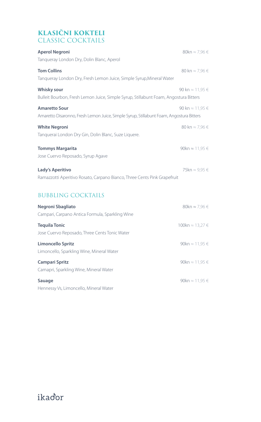# **Klasični kokteli** CLASSIC COCK

| <b>Aperol Negroni</b><br>Tangueray London Dry, Dolin Blanc, Aperol                                              | 80kn $\approx$ 7,96 $\in$   |
|-----------------------------------------------------------------------------------------------------------------|-----------------------------|
| <b>Tom Collins</b><br>Tangueray London Dry, Fresh Lemon Juice, Simple Syrup, Mineral Water                      | 80 kn $\approx$ 7,96 $\in$  |
| <b>Whisky sour</b><br>Bulleit Bourbon, Fresh Lemon Juice, Simple Syrup, Stillabunt Foam, Angostura Bitters      | 90 kn $\approx$ 11,95 $\in$ |
| <b>Amaretto Sour</b><br>Amaretto Disaronno, Fresh Lemon Juice, Simple Syrup, Stillabunt Foam, Angostura Bitters | 90 kn $\approx$ 11.95 $\in$ |
| <b>White Negroni</b><br>Tanquerai London Dry Gin, Dolin Blanc, Suze Liquere.                                    | 80 kn $\approx$ 7,96 $\in$  |
| <b>Tommys Margarita</b><br>Jose Cuervo Reposado, Syrup Agave                                                    | 90kn $\approx$ 11,95 $\in$  |
| Lady's Aperitivo<br>Ramazzotti Aperitivo Rosato, Carpano Bianco, Three Cents Pink Grapefruit                    | 75kn $\approx$ 9,95 $\in$   |
| <b>BUBBLING COCKTAILS</b>                                                                                       |                             |
| Negroni Sbagliato<br>Campari, Carpano Antica Formula, Sparkling Wine                                            | 80kn $\approx$ 7,96 $\in$   |
| <b>Tequila Tonic</b><br>Jose Cuervo Reposado, Three Cents Tonic Water                                           | 100kn $\approx$ 13,27 $\in$ |
| <b>Limoncello Spritz</b><br>Limoncello, Sparkling Wine, Mineral Water                                           | 90kn $\approx$ 11,95 $\in$  |
| <b>Campari Spritz</b><br>Camapri, Sparkling Wine, Mineral Water                                                 | 90kn $\approx$ 11,95 $\in$  |
| Sauage                                                                                                          | 90kn $\approx$ 11,95 $\in$  |

Hennessy Vs, Limoncello, Mineral Water

ikador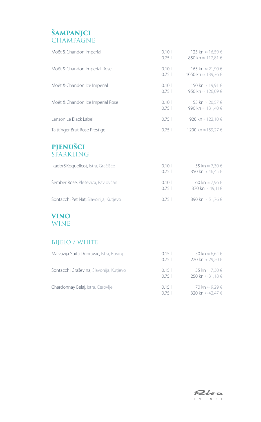# **ŠAMPANJCI**  CHAMPAGNE

| Moët & Chandon Imperial          | 0.101<br>0.751 | 125 kn ≈ 16.59 €<br>850 kn $\approx$ 112.81 $\in$ |
|----------------------------------|----------------|---------------------------------------------------|
| Moët & Chandon Imperial Rose     | 0.101<br>0.751 | 165 kn ≈ 21.90 €<br>1050 kn ≈ 139.36 €            |
| Moët & Chandon Ice Imperial      | 0.101<br>0.751 | 150 kn ≈ 19.91 €<br>950 kn ≈ 126.09 €             |
| Moët & Chandon Ice Imperial Rose | 0.101<br>0751  | 155 kn ≈ 20.57 €<br>990 kn $\approx 131.40 \in$   |
| Lanson Le Black Label            | 0.751          | 920 kn ≈122.10 €                                  |
| Taittinger Brut Rose Prestige    | 0.751          | 1200 kn ≈159,27 €                                 |

## **PJENUŠCI** SPARKLING

| Ikador&Koguelicot, Istra, Gračišće    | 0.101<br>0751 | 55 kn $\approx$ 7.30 $\in$<br>350 kn ≈ 46.45 € |
|---------------------------------------|---------------|------------------------------------------------|
| Šember Rose, Pleševica, Pavlovčani    | 0.101<br>0751 | 60 kn $\approx$ 7.96 $\in$<br>370 kn ≈ 49.11€  |
| Sontacchi Pet Nat, Slavonija, Kutjevo | 0751          | 390 kn ≈ 51.76 €                               |

### **VINO** WINE

### BIJELO / WHITE

| Malvazija Suita Dobravac, Istra, Rovinj | 0.15<br>0751 | 50 kn $\approx$ 6.64 $\in$<br>220 kn ≈ 29.20 € |
|-----------------------------------------|--------------|------------------------------------------------|
| Sontacchi Graševina, Slavonija, Kutjevo | 0.15<br>0751 | 55 kn $\approx$ 7.30 $\in$<br>250 kn ≈ 31,18 € |
| Chardonnay Belaj, Istra, Cerovlje       | 0.15<br>0.75 | 70 kn ≈ 9.29 €<br>320 kn $\approx$ 42.47 $\in$ |

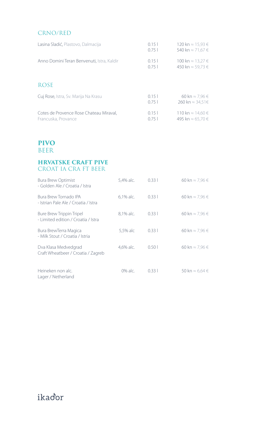#### CRNO/RED

| Lasina Sladić, Plastovo, Dalmacija                             | 0.151<br>0.751 | 120 kn ≈ 15.93 €<br>540 kn ≈ 71.67 €          |
|----------------------------------------------------------------|----------------|-----------------------------------------------|
| Anno Domini Teran Benvenuti, Istra, Kaldir                     | 0.151<br>0.751 | 100 kn $\approx$ 13.27 €<br>450 kn ≈ 59.73 €  |
| <b>ROSE</b>                                                    |                |                                               |
| Cuj Rose, Istra, Sv. Marija Na Krasu                           | 0.151<br>0.751 | 60 kn $\approx$ 7.96 $\in$<br>260 kn ≈ 34.51€ |
| Cotes de Provence Rose Chateau Miraval,<br>Francuska, Provance | 0.151<br>0.751 | 110 kn ≈ 14.60 €<br>495 kn ≈ 65.70 €          |

### **PIVO** BEER

#### **HRVATSKE CRAFT PIVE** CROAT IA CRA FT BEER

| <b>Bura Brew Optimist</b><br>- Golden Ale / Croatia / Istra     | 5,4% alc. | 0.331 | 60 kn $\approx$ 7,96 $\in$ |
|-----------------------------------------------------------------|-----------|-------|----------------------------|
| Bura Brew Tornado IPA<br>- Istrian Pale Ale / Croatia / Istra   | 6.1% alc. | 0.331 | 60 kn $\approx$ 7,96 $\in$ |
| Bure Brew Trippin Tripel<br>- Limited edition / Croatia / Istra | 8,1% alc. | 0.331 | 60 kn $\approx$ 7,96 $\in$ |
| Bura BrewTerra Magica<br>- Milk Stout / Croatia / Istria        | 5,5% alc  | 0.331 | 60 kn $\approx$ 7.96 $\in$ |
| Dva Klasa Medvedgrad<br>Craft Wheatbeer / Croatia / Zagreb      | 4,6% alc. | 0.501 | 60 kn $\approx$ 7,96 $\in$ |
| Heineken non alc.<br>Lager / Netherland                         | 0% alc.   | 0.331 | 50 kn $\approx$ 6,64 $\in$ |

# ikador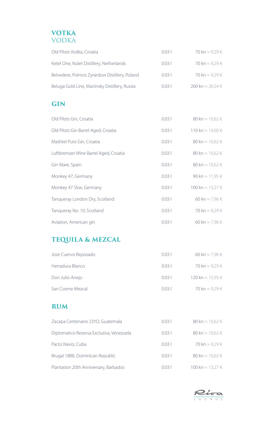

| Old Pilots Vodka, Croatia                      | 0.031 | 70 kn ≈ 9.29 €   |
|------------------------------------------------|-------|------------------|
| Ketel One, Nolet Distillery, Netherlands       | 0.031 | 70 kn ≈ 9.29 €   |
| Belvedere, Polmos Zyrardow Distillery, Poland  | 0.031 | 70 kn ≈ 9.29 €   |
| Beluga Gold Line, Mariinsky Distillery, Russia | 0.031 | 200 kn ≈ 26.54 € |

# **Gin**

| Old Pilots Gin, Croatia               | 0.031 | 80 kn $\approx$ 10,62 $\in$ |
|---------------------------------------|-------|-----------------------------|
| Old Pilots Gin Barrel Aged, Croatia   | 0.031 | 110 kn ≈ 14,60 €            |
| Mashtel Puro Gin, Croatia             | 0.031 | 80 kn $\approx$ 10,62 $\in$ |
| Luftbremzer Wine Barrel Aged, Croatia | 0.031 | 80 kn $\approx$ 10,62 $\in$ |
| Gin Mare, Spain                       | 0.031 | 80 kn $\approx$ 10,62 $\in$ |
| Monkey 47, Germany                    | 0.031 | 90 kn $\approx$ 11,95 $\in$ |
| Monkey 47 Sloe, Germany               | 0.031 | 100 kn ≈ 13,27 €            |
| Tangueray London Dry, Scotland        | 0.031 | 60 kn $\approx$ 7.96 $\in$  |
| Tangueray No. 10, Scotland            | 0.031 | 70 kn ≈ 9,29 €              |
| Aviation, American gin                | 0.031 | 60 kn $\approx$ 7.96 $\in$  |

# **Tequila & Mezcal**

| Jose Cuervo Reposado | 0.031           | 60 kn $\approx$ 7.96 $\in$ |
|----------------------|-----------------|----------------------------|
| Herradura Blanco     | 0.031           | 70 kn ≈ 9.29 €             |
| Don Julio Anejo      | $0.03 \pm 0.03$ | 120 kn ≈ 15.93 €           |
| San Cosme Mezcal     | 0031            | 70 kn ≈ 9.29 €             |

## **Rum**

| Zacapa Centenario 23YO, Guatemala        | 0.031 | 80 kn $\approx$ 10,62 $\in$ |
|------------------------------------------|-------|-----------------------------|
| Diplomatico Reserva Exclusiva, Venezuela | 0.031 | 80 kn $\approx$ 10,62 $\in$ |
| Pacto Navio, Cuba                        | 0.031 | 70 kn ≈ 9.29 €              |
| Brugal 1888, Dominican Republic          | 0.031 | 80 kn $\approx$ 10,62 $\in$ |
| Plantation 20th Anniversary, Barbados    | 0.031 | 100 kn ≈ 13.27 €            |

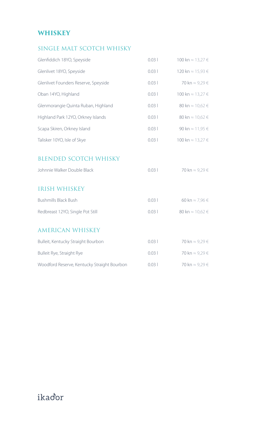# **WHISKEY**

# Single malt scotch whisky

| Glenfiddich 18YO, Speyside                                  | 0.031 | 100 kn ≈ 13,27 €           |
|-------------------------------------------------------------|-------|----------------------------|
| Glenlivet 18YO, Speyside                                    | 0.031 | 120 kn ≈ 15,93 €           |
| Glenlivet Founders Reserve, Speyside                        | 0.031 | 70 kn ≈ 9,29 €             |
| Oban 14YO, Highland                                         | 0.031 | 100 kn ≈ 13,27 €           |
| Glenmorangie Quinta Ruban, Highland                         | 0.031 | 80 kn ≈ 10,62 €            |
| Highland Park 12YO, Orkney Islands                          | 0.031 | 80 kn ≈ 10,62 €            |
| Scapa Skiren, Orkney Island                                 | 0.031 | 90 kn ≈ 11,95 €            |
| Talisker 10YO, Isle of Skye                                 | 0.031 | 100 kn ≈ 13,27 €           |
| <b>BLENDED SCOTCH WHISKY</b><br>Johnnie Walker Double Black | 0.031 | 70 kn ≈ 9,29 €             |
| <b>IRISH WHISKEY</b>                                        |       |                            |
| <b>Bushmills Black Bush</b>                                 | 0.031 | 60 kn $\approx$ 7,96 $\in$ |
| Redbreast 12YO, Single Pot Still                            | 0.031 | 80 kn ≈ 10,62 €            |
| <b>AMERICAN WHISKEY</b>                                     |       |                            |
| Bulleit, Kentucky Straight Bourbon                          | 0.031 | 70 kn ≈ 9,29 €             |
| Bulleit Rye, Straight Rye                                   | 0.031 | 70 kn ≈ 9,29 €             |
| Woodford Reserve, Kentucky Straight Bourbon                 | 0.031 | 70 kn ≈ 9,29 €             |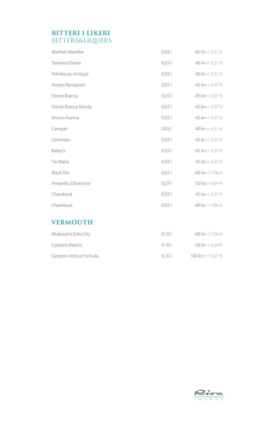### **Bitteri i likeri BITTERS&LIQUERS**

| Mashtel Maraška     | 0,03  | 40 Kn $\approx$ 5,31 €     |
|---------------------|-------|----------------------------|
| Teranino Dama       | 0,03  | 40 kn $\approx$ 5,31 $\in$ |
| Pelinkovac Antique  | 0.031 | 40 kn $\approx$ 5,31 $\in$ |
| Amaro Ramazotti     | 0.031 | 45 kn $\approx$ 5,97 $\in$ |
| Fernet Branca       | 0.031 | 45 kn $\approx$ 5,97 $\in$ |
| Fernet Branca Menta | 0.031 | 45 kn $\approx$ 5,97 $\in$ |
| Amaro Averna        | 0.031 | 45 kn $\approx$ 5,97 $\in$ |
| Campari             | 0.031 | 40 kn $\approx$ 5,31 €     |
| Cointreau           | 0.031 | 45 kn $\approx$ 5,97 $\in$ |
| Bailey's            | 0.031 | 45 kn $\approx$ 5,97 $\in$ |
| Tia Maria           | 0.031 | 45 kn $\approx$ 5,97 $\in$ |
| <b>Black Fire</b>   | 0.031 | 60 kn $\approx$ 7,96 $\in$ |
| Amaretto Disaronno  | 0.031 | 50 kn $\approx$ 6,64 $\in$ |
| Chambord            | 0.031 | 45 kn $\approx$ 5,97 $\in$ |
| Chartreuse          | 0.031 | 60 kn $\approx$ 7,96 $\in$ |

# **Vermouth**

| Mulassano Extra Dry    | 0101 | 60 kn ≈ 7.96 $∈$           |
|------------------------|------|----------------------------|
| Carpano Bianco         | 0101 | 50 kn $\approx$ 6.64 $\in$ |
| Carpano Antica Formula | 0101 | 100 kn ≈ 13.27 €           |

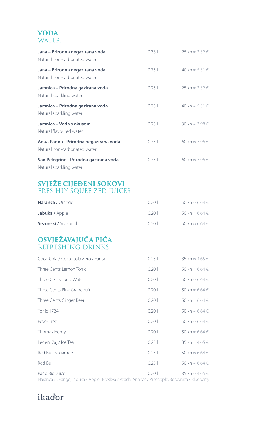### **Voda WATER**

| Jana – Prirodna negazirana voda<br>Natural non-carbonated water       | 0.331 | 25 kn $\approx$ 3,32 $\in$ |
|-----------------------------------------------------------------------|-------|----------------------------|
| Jana – Prirodna negazirana voda<br>Natural non-carbonated water       | 0.751 | 40 kn $\approx$ 5,31 $\in$ |
| Jamnica – Prirodna gazirana voda<br>Natural sparkling water           | 0.251 | 25 kn $\approx$ 3,32 $\in$ |
| Jamnica – Prirodna gazirana voda<br>Natural sparkling water           | 0.751 | 40 kn $\approx$ 5,31 €     |
| Jamnica – Voda s okusom<br>Natural flavoured water                    | 0.251 | 30 kn $\approx$ 3,98 $\in$ |
| Agua Panna - Prirodna negazirana voda<br>Natural non-carbonated water | 0.751 | 60 kn $\approx$ 7.96 $\in$ |
| San Pelegrino - Prirodna gazirana voda<br>Natural sparkling water     | 0.751 | 60 kn $\approx$ 7,96 $\in$ |

# **Svježe cijeđeni sokovi** FRES HLY SQUEE ZED

| Naranča / Orange           | 0201 | 50 kn $\approx$ 6.64 $\in$ |
|----------------------------|------|----------------------------|
| Jabuka / Apple             | 0201 | 50 kn $\approx$ 6.64 $\in$ |
| <b>Sezonski / Seasonal</b> | 0201 | 50 kn $\approx$ 6.64 $\in$ |

# **Osvježavajuća pića** REFRESHING DRINKS

| Coca-Cola / Coca-Cola Zero / Fanta | 0.251 | 35 kn $\approx$ 4,65 $\in$ |
|------------------------------------|-------|----------------------------|
| Three Cents Lemon Tonic            | 0.201 | 50 kn $\approx$ 6,64 $\in$ |
| Three Cents Tonic Water            | 0.201 | 50 kn $\approx$ 6,64 $\in$ |
| Three Cents Pink Grapefruit        | 0.201 | 50 kn $\approx$ 6,64 $\in$ |
| Three Cents Ginger Beer            | 0.201 | 50 kn $\approx$ 6,64 $\in$ |
| <b>Tonic 1724</b>                  | 0.201 | 50 kn $\approx$ 6,64 $\in$ |
| <b>Fever Tree</b>                  | 0.201 | 50 kn $\approx$ 6,64 $\in$ |
| Thomas Henry                       | 0.201 | 50 kn $\approx$ 6,64 $\in$ |
| Ledeni čaj / Ice Tea               | 0.251 | 35 kn $\approx$ 4,65 $\in$ |
| Red Bull Sugarfree                 | 0.251 | 50 kn $\approx$ 6,64 $\in$ |
| Red Bull                           | 0.251 | 50 kn $\approx$ 6,64 $\in$ |
| Pago Bio Juice                     | 0.201 | 35 kn $\approx$ 4,65 $\in$ |

Naranča / Orange, Jabuka / Apple , Breskva / Peach, Ananas / Pineapple, Borovnica / Blueberry

ikador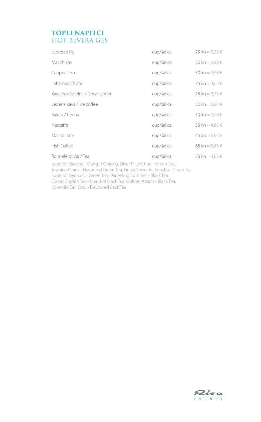# **TOPLI NAPITCI** HOT BEVERA GES

| Espresso Illy                    | cup/šalica | 25 kn $\approx$ 3,32 $\in$ |
|----------------------------------|------------|----------------------------|
| Macchiato                        | cup/šalica | 30 kn $\approx$ 3,98 $\in$ |
| Cappuccino                       | cup/šalica | 30 kn $\approx$ 3,98 $\in$ |
| Latte macchiato                  | cup/šalica | 35 kn $\approx$ 4,65 $\in$ |
| Kava bez kofeina / Decaf. coffee | cup/šalica | 25 kn ≈ 3,32 $∈$           |
| Ledena kava / Ice coffee         | cup/šalica | 50 kn $\approx$ 6,64 $\in$ |
| Kakao / Cocoa                    | cup/šalica | 30 kn $\approx$ 3,98 $\in$ |
| Nescaffe                         | cup/šalica | 35 kn $\approx$ 4,65 $\in$ |
| Macha latte                      | cup/šalica | 45 kn $\approx$ 5,97 $\in$ |
| Irish Coffee                     | cup/šalica | 65 kn ≈ 8,63 $∈$           |
| Ronnefeldt čaj / Tea             | cup/šalica | 35 kn $\approx$ 4.65 $\in$ |

Superior Oolong - Dung Ti Oolong, Silver Pi Lo Chun - Green Tea , Jasmine Pearls - Flavoured Green Tea, Finest Shizuoka Sencha - Green Tea, Superior Gyokuro - Green Tea, Darjeeling Summer - Black Tea, Classic English Tea - Blend of Black Tea, Golden Assam - Black Tea, Splendid Earl Gray - Flavoured Back Tea